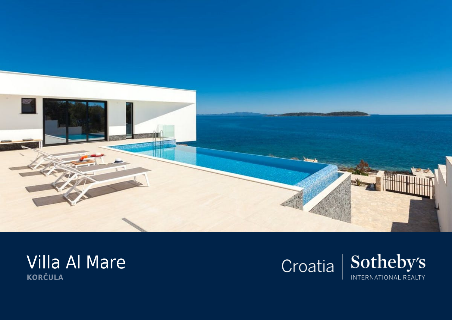

## Villa Al Mare **KORČULA**

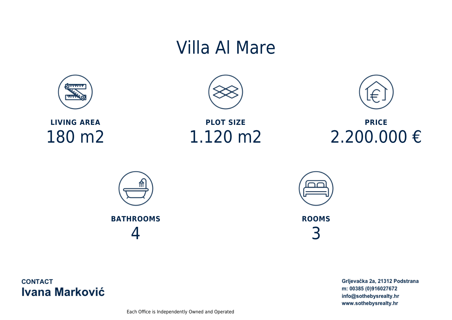## Villa Al Mare



**LIVING AREA** 180 m2



**PLOT SIZE** 1.120 m2



**PRICE** 2.200.000 €





**ROOMS** 3

**CONTACT Ivana Marković**  Grljevačka 2a, 21312 Podstrana m: 00385 (0)916027672 info@sothebysrealty.hr www.sothebysrealty.hr

Each Office is Independently Owned and Operated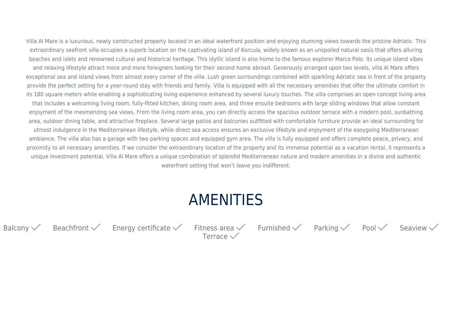Villa Al Mare is a luxurious, newly constructed property located in an ideal waterfront position and enjoying stunning views towards the pristine Adriatic. This extraordinary seafront villa occupies a superb location on the captivating island of Korcula, widely known as an unspoiled natural oasis that offers alluring beaches and islets and renowned cultural and historical heritage. This idyllic island is also home to the famous explorer Marco Polo. Its unique island vibes and relaxing lifestyle attract more and more foreigners looking for their second home abroad. Generously arranged upon two levels, villa Al Mare offers exceptional sea and island views from almost every corner of the villa. Lush green surroundings combined with sparkling Adriatic sea in front of the property provide the perfect setting for a year-round stay with friends and family. Villa is equipped with all the necessary amenities that offer the ultimate comfort in its 180 square meters while enabling a sophisticating living experience enhanced by several luxury touches. The villa comprises an open concept living area that includes a welcoming living room, fully-fitted kitchen, dining room area, and three ensuite bedrooms with large sliding windows that allow constant enjoyment of the mesmerizing sea views. From the living room area, you can directly access the spacious outdoor terrace with a modern pool, sunbathing area, outdoor dining table, and attractive fireplace. Several large patios and balconies outfitted with comfortable furniture provide an ideal surrounding for utmost indulgence in the Mediterranean lifestyle, while direct sea access ensures an exclusive lifestyle and enjoyment of the easygoing Mediterranean ambiance. The villa also has a garage with two parking spaces and equipped gym area. The villa is fully equipped and offers complete peace, privacy, and proximity to all necessary amenities. If we consider the extraordinary location of the property and its immense potential as a vacation rental, it represents a unique investment potential. Villa Al Mare offers a unique combination of splendid Mediterranean nature and modern amenities in a divine and authentic waterfront setting that won't leave you indifferent.

## AMENITIES

Balcony Beachfront  $\checkmark$  Energy certificate Fitness area  $\checkmark$  Furnished  $\checkmark$  Parking  $\checkmark$  Pool Seaview

Terrace $\checkmark$